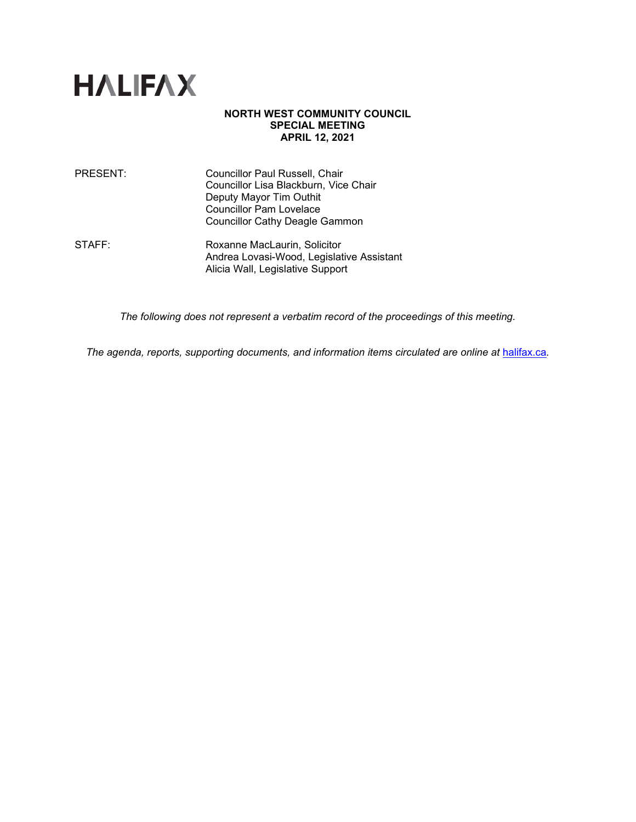

### **NORTH WEST COMMUNITY COUNCIL SPECIAL MEETING APRIL 12, 2021**

| PRESENT: | Councillor Paul Russell, Chair        |
|----------|---------------------------------------|
|          | Councillor Lisa Blackburn, Vice Chair |
|          | Deputy Mayor Tim Outhit               |
|          | <b>Councillor Pam Lovelace</b>        |
|          | <b>Councillor Cathy Deagle Gammon</b> |
|          |                                       |

STAFF: Roxanne MacLaurin, Solicitor Andrea Lovasi-Wood, Legislative Assistant Alicia Wall, Legislative Support

*The following does not represent a verbatim record of the proceedings of this meeting.*

The agenda, reports, supporting documents, and information items circulated are online at **[halifax.ca](http://www.halifax.ca/).**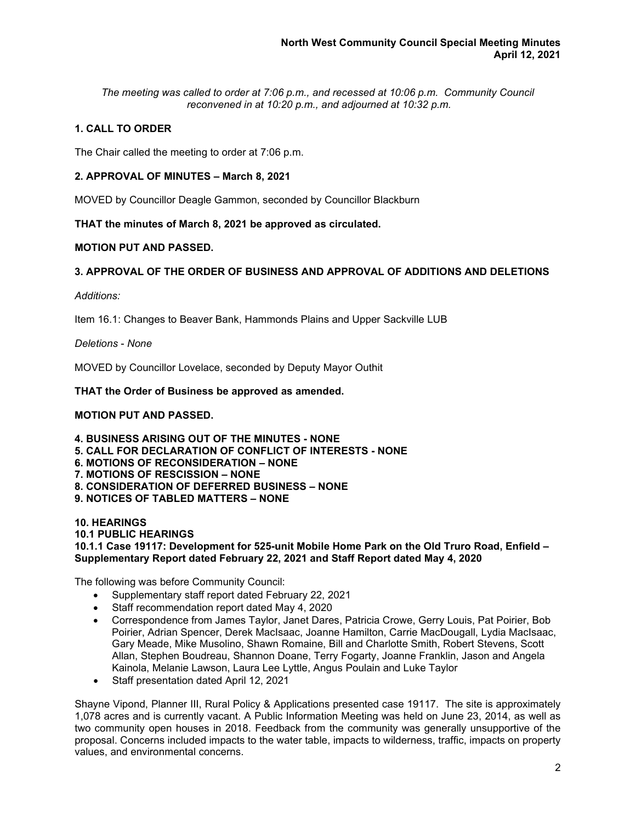*The meeting was called to order at 7:06 p.m., and recessed at 10:06 p.m. Community Council reconvened in at 10:20 p.m., and adjourned at 10:32 p.m.*

# **1. CALL TO ORDER**

The Chair called the meeting to order at 7:06 p.m.

### **2. APPROVAL OF MINUTES – March 8, 2021**

MOVED by Councillor Deagle Gammon, seconded by Councillor Blackburn

**THAT the minutes of March 8, 2021 be approved as circulated.**

### **MOTION PUT AND PASSED.**

# **3. APPROVAL OF THE ORDER OF BUSINESS AND APPROVAL OF ADDITIONS AND DELETIONS**

*Additions:*

Item 16.1: Changes to Beaver Bank, Hammonds Plains and Upper Sackville LUB

*Deletions* - *None*

MOVED by Councillor Lovelace, seconded by Deputy Mayor Outhit

### **THAT the Order of Business be approved as amended.**

### **MOTION PUT AND PASSED.**

**4. BUSINESS ARISING OUT OF THE MINUTES - NONE 5. CALL FOR DECLARATION OF CONFLICT OF INTERESTS - NONE 6. MOTIONS OF RECONSIDERATION – NONE 7. MOTIONS OF RESCISSION – NONE 8. CONSIDERATION OF DEFERRED BUSINESS – NONE 9. NOTICES OF TABLED MATTERS – NONE**

**10. HEARINGS**

#### **10.1 PUBLIC HEARINGS**

**10.1.1 Case 19117: Development for 525-unit Mobile Home Park on the Old Truro Road, Enfield – Supplementary Report dated February 22, 2021 and Staff Report dated May 4, 2020**

The following was before Community Council:

- Supplementary staff report dated February 22, 2021
- Staff recommendation report dated May 4, 2020
- Correspondence from James Taylor, Janet Dares, Patricia Crowe, Gerry Louis, Pat Poirier, Bob Poirier, Adrian Spencer, Derek MacIsaac, Joanne Hamilton, Carrie MacDougall, Lydia MacIsaac, Gary Meade, Mike Musolino, Shawn Romaine, Bill and Charlotte Smith, Robert Stevens, Scott Allan, Stephen Boudreau, Shannon Doane, Terry Fogarty, Joanne Franklin, Jason and Angela Kainola, Melanie Lawson, Laura Lee Lyttle, Angus Poulain and Luke Taylor
- Staff presentation dated April 12, 2021

Shayne Vipond, Planner III, Rural Policy & Applications presented case 19117. The site is approximately 1,078 acres and is currently vacant. A Public Information Meeting was held on June 23, 2014, as well as two community open houses in 2018. Feedback from the community was generally unsupportive of the proposal. Concerns included impacts to the water table, impacts to wilderness, traffic, impacts on property values, and environmental concerns.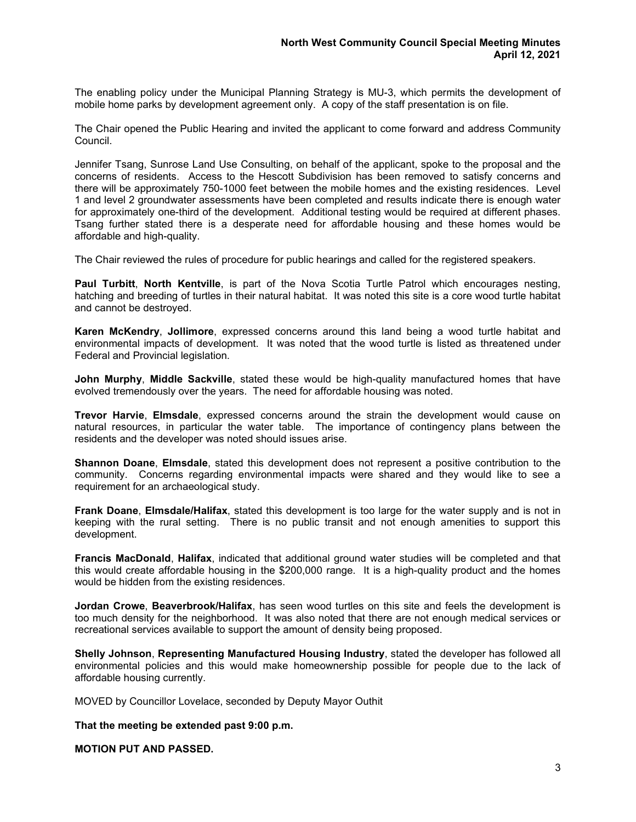The enabling policy under the Municipal Planning Strategy is MU-3, which permits the development of mobile home parks by development agreement only. A copy of the staff presentation is on file.

The Chair opened the Public Hearing and invited the applicant to come forward and address Community Council.

Jennifer Tsang, Sunrose Land Use Consulting, on behalf of the applicant, spoke to the proposal and the concerns of residents. Access to the Hescott Subdivision has been removed to satisfy concerns and there will be approximately 750-1000 feet between the mobile homes and the existing residences. Level 1 and level 2 groundwater assessments have been completed and results indicate there is enough water for approximately one-third of the development. Additional testing would be required at different phases. Tsang further stated there is a desperate need for affordable housing and these homes would be affordable and high-quality.

The Chair reviewed the rules of procedure for public hearings and called for the registered speakers.

**Paul Turbitt**, **North Kentville**, is part of the Nova Scotia Turtle Patrol which encourages nesting, hatching and breeding of turtles in their natural habitat. It was noted this site is a core wood turtle habitat and cannot be destroyed.

**Karen McKendry**, **Jollimore**, expressed concerns around this land being a wood turtle habitat and environmental impacts of development. It was noted that the wood turtle is listed as threatened under Federal and Provincial legislation.

**John Murphy**, **Middle Sackville**, stated these would be high-quality manufactured homes that have evolved tremendously over the years. The need for affordable housing was noted.

**Trevor Harvie**, **Elmsdale**, expressed concerns around the strain the development would cause on natural resources, in particular the water table. The importance of contingency plans between the residents and the developer was noted should issues arise.

**Shannon Doane**, **Elmsdale**, stated this development does not represent a positive contribution to the community. Concerns regarding environmental impacts were shared and they would like to see a requirement for an archaeological study.

**Frank Doane**, **Elmsdale/Halifax**, stated this development is too large for the water supply and is not in keeping with the rural setting. There is no public transit and not enough amenities to support this development.

**Francis MacDonald**, **Halifax**, indicated that additional ground water studies will be completed and that this would create affordable housing in the \$200,000 range. It is a high-quality product and the homes would be hidden from the existing residences.

**Jordan Crowe**, **Beaverbrook/Halifax**, has seen wood turtles on this site and feels the development is too much density for the neighborhood. It was also noted that there are not enough medical services or recreational services available to support the amount of density being proposed.

**Shelly Johnson**, **Representing Manufactured Housing Industry**, stated the developer has followed all environmental policies and this would make homeownership possible for people due to the lack of affordable housing currently.

MOVED by Councillor Lovelace, seconded by Deputy Mayor Outhit

**That the meeting be extended past 9:00 p.m.**

**MOTION PUT AND PASSED.**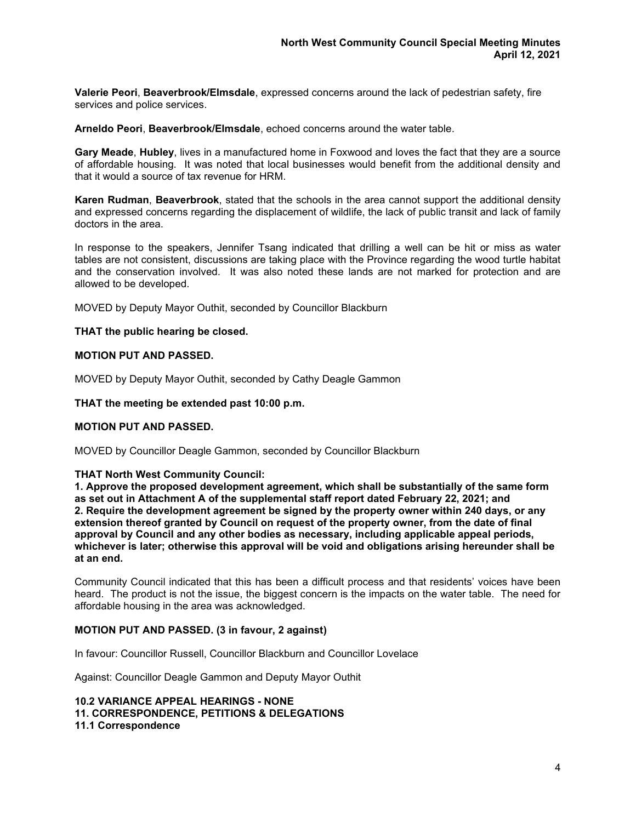**Valerie Peori**, **Beaverbrook/Elmsdale**, expressed concerns around the lack of pedestrian safety, fire services and police services.

**Arneldo Peori**, **Beaverbrook/Elmsdale**, echoed concerns around the water table.

**Gary Meade**, **Hubley**, lives in a manufactured home in Foxwood and loves the fact that they are a source of affordable housing. It was noted that local businesses would benefit from the additional density and that it would a source of tax revenue for HRM.

**Karen Rudman**, **Beaverbrook**, stated that the schools in the area cannot support the additional density and expressed concerns regarding the displacement of wildlife, the lack of public transit and lack of family doctors in the area.

In response to the speakers, Jennifer Tsang indicated that drilling a well can be hit or miss as water tables are not consistent, discussions are taking place with the Province regarding the wood turtle habitat and the conservation involved. It was also noted these lands are not marked for protection and are allowed to be developed.

MOVED by Deputy Mayor Outhit, seconded by Councillor Blackburn

#### **THAT the public hearing be closed.**

#### **MOTION PUT AND PASSED.**

MOVED by Deputy Mayor Outhit, seconded by Cathy Deagle Gammon

**THAT the meeting be extended past 10:00 p.m.**

#### **MOTION PUT AND PASSED.**

MOVED by Councillor Deagle Gammon, seconded by Councillor Blackburn

#### **THAT North West Community Council:**

**1. Approve the proposed development agreement, which shall be substantially of the same form as set out in Attachment A of the supplemental staff report dated February 22, 2021; and 2. Require the development agreement be signed by the property owner within 240 days, or any extension thereof granted by Council on request of the property owner, from the date of final approval by Council and any other bodies as necessary, including applicable appeal periods, whichever is later; otherwise this approval will be void and obligations arising hereunder shall be at an end.**

Community Council indicated that this has been a difficult process and that residents' voices have been heard. The product is not the issue, the biggest concern is the impacts on the water table. The need for affordable housing in the area was acknowledged.

#### **MOTION PUT AND PASSED. (3 in favour, 2 against)**

In favour: Councillor Russell, Councillor Blackburn and Councillor Lovelace

Against: Councillor Deagle Gammon and Deputy Mayor Outhit

**10.2 VARIANCE APPEAL HEARINGS - NONE 11. CORRESPONDENCE, PETITIONS & DELEGATIONS 11.1 Correspondence**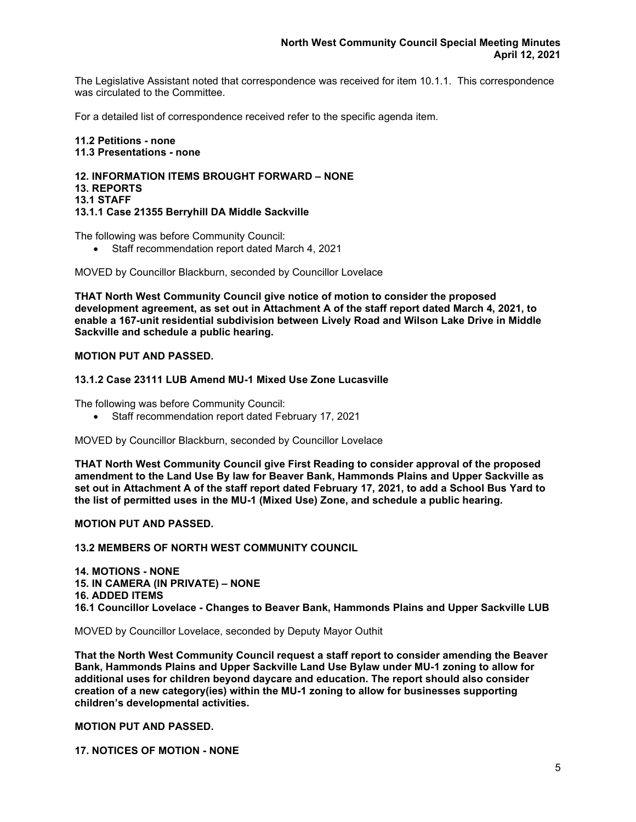The Legislative Assistant noted that correspondence was received for item 10.1.1. This correspondence was circulated to the Committee.

For a detailed list of correspondence received refer to the specific agenda item.

**11.2 Petitions - none 11.3 Presentations - none**

#### **12. INFORMATION ITEMS BROUGHT FORWARD – NONE 13. REPORTS 13.1 STAFF 13.1.1 Case 21355 Berryhill DA Middle Sackville**

The following was before Community Council:

• Staff recommendation report dated March 4, 2021

MOVED by Councillor Blackburn, seconded by Councillor Lovelace

**THAT North West Community Council give notice of motion to consider the proposed development agreement, as set out in Attachment A of the staff report dated March 4, 2021, to enable a 167-unit residential subdivision between Lively Road and Wilson Lake Drive in Middle Sackville and schedule a public hearing.**

### **MOTION PUT AND PASSED.**

### **13.1.2 Case 23111 LUB Amend MU-1 Mixed Use Zone Lucasville**

The following was before Community Council:

• Staff recommendation report dated February 17, 2021

MOVED by Councillor Blackburn, seconded by Councillor Lovelace

**THAT North West Community Council give First Reading to consider approval of the proposed amendment to the Land Use By law for Beaver Bank, Hammonds Plains and Upper Sackville as set out in Attachment A of the staff report dated February 17, 2021, to add a School Bus Yard to the list of permitted uses in the MU-1 (Mixed Use) Zone, and schedule a public hearing.**

**MOTION PUT AND PASSED.**

### **13.2 MEMBERS OF NORTH WEST COMMUNITY COUNCIL**

**14. MOTIONS - NONE 15. IN CAMERA (IN PRIVATE) – NONE 16. ADDED ITEMS 16.1 Councillor Lovelace - Changes to Beaver Bank, Hammonds Plains and Upper Sackville LUB**

MOVED by Councillor Lovelace, seconded by Deputy Mayor Outhit

**That the North West Community Council request a staff report to consider amending the Beaver Bank, Hammonds Plains and Upper Sackville Land Use Bylaw under MU-1 zoning to allow for additional uses for children beyond daycare and education. The report should also consider creation of a new category(ies) within the MU-1 zoning to allow for businesses supporting children's developmental activities.**

**MOTION PUT AND PASSED.**

**17. NOTICES OF MOTION - NONE**